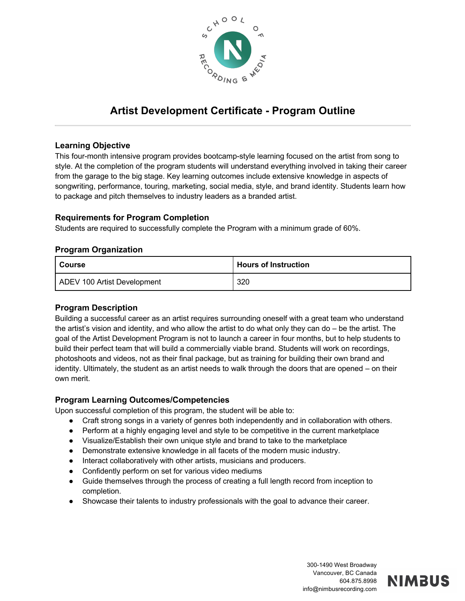

# **Artist Development Certificate - Program Outline**

## **Learning Objective**

This four-month intensive program provides bootcamp-style learning focused on the artist from song to style. At the completion of the program students will understand everything involved in taking their career from the garage to the big stage. Key learning outcomes include extensive knowledge in aspects of songwriting, performance, touring, marketing, social media, style, and brand identity. Students learn how to package and pitch themselves to industry leaders as a branded artist.

## **Requirements for Program Completion**

Students are required to successfully complete the Program with a minimum grade of 60%.

### **Program Organization**

| Course                      | <b>Hours of Instruction</b> |
|-----------------------------|-----------------------------|
| ADEV 100 Artist Development | 320                         |

### **Program Description**

Building a successful career as an artist requires surrounding oneself with a great team who understand the artist's vision and identity, and who allow the artist to do what only they can do – be the artist. The goal of the Artist Development Program is not to launch a career in four months, but to help students to build their perfect team that will build a commercially viable brand. Students will work on recordings, photoshoots and videos, not as their final package, but as training for building their own brand and identity. Ultimately, the student as an artist needs to walk through the doors that are opened – on their own merit.

## **Program Learning Outcomes/Competencies**

Upon successful completion of this program, the student will be able to:

- Craft strong songs in a variety of genres both independently and in collaboration with others.
- Perform at a highly engaging level and style to be competitive in the current marketplace
- Visualize/Establish their own unique style and brand to take to the marketplace
- Demonstrate extensive knowledge in all facets of the modern music industry.
- Interact collaboratively with other artists, musicians and producers.
- Confidently perform on set for various video mediums
- Guide themselves through the process of creating a full length record from inception to completion.
- Showcase their talents to industry professionals with the goal to advance their career.